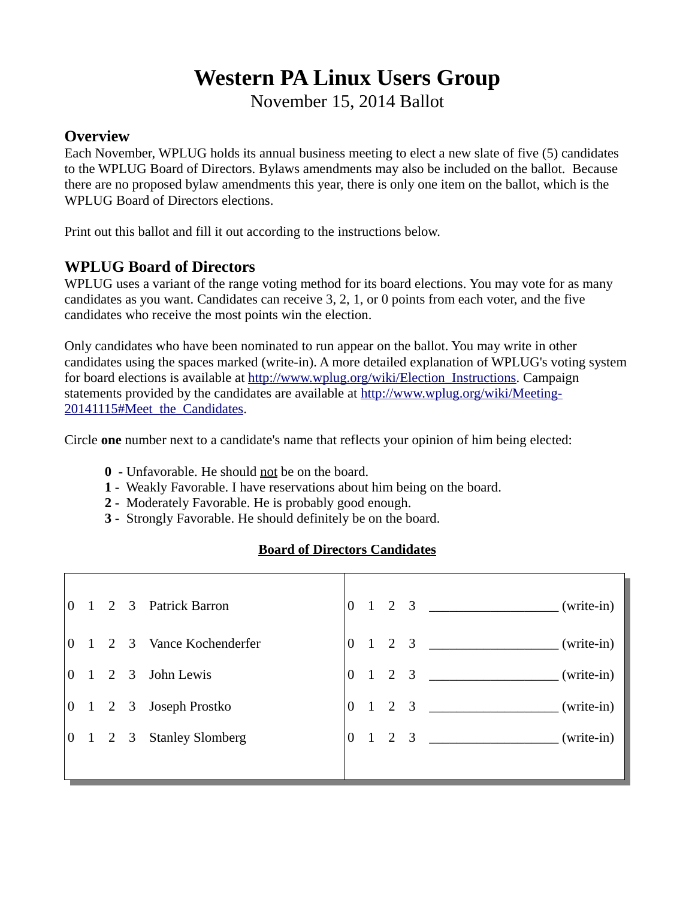# **Western PA Linux Users Group**

November 15, 2014 Ballot

### **Overview**

Each November, WPLUG holds its annual business meeting to elect a new slate of five (5) candidates to the WPLUG Board of Directors. Bylaws amendments may also be included on the ballot. Because there are no proposed bylaw amendments this year, there is only one item on the ballot, which is the WPLUG Board of Directors elections.

Print out this ballot and fill it out according to the instructions below.

## **WPLUG Board of Directors**

WPLUG uses a variant of the range voting method for its board elections. You may vote for as many candidates as you want. Candidates can receive 3, 2, 1, or 0 points from each voter, and the five candidates who receive the most points win the election.

Only candidates who have been nominated to run appear on the ballot. You may write in other candidates using the spaces marked (write-in). A more detailed explanation of WPLUG's voting system for board elections is available at http://www.wplug.org/wiki/Election Instructions. Campaign statements provided by the candidates are available at [http://www.wplug.org/wiki/Meeting-](http://www.wplug.org/wiki/Meeting-20141115#Meet_the_Candidates)[20141115#Meet\\_the\\_Candidates.](http://www.wplug.org/wiki/Meeting-20141115#Meet_the_Candidates)

Circle **one** number next to a candidate's name that reflects your opinion of him being elected:

- **0** Unfavorable. He should not be on the board.
- **1** Weakly Favorable. I have reservations about him being on the board.
- **2** Moderately Favorable. He is probably good enough.
- **3** Strongly Favorable. He should definitely be on the board.

## **Board of Directors Candidates**